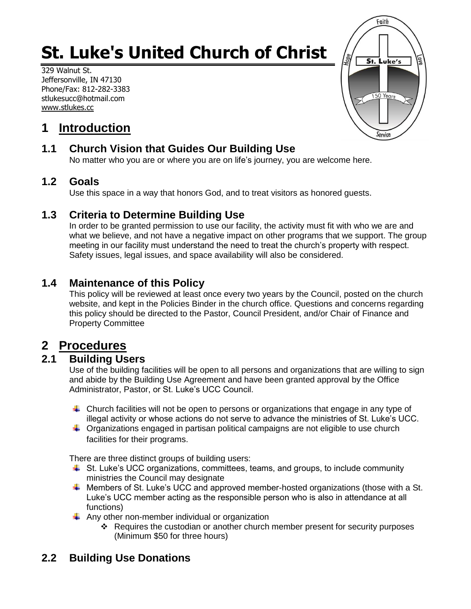# **St. Luke's United Church of Christ**

329 Walnut St. Jeffersonville, IN 47130 Phone/Fax: 812-282-3383 stlukesucc@hotmail.com www.stlukes.cc



# **1 Introduction**

# **1.1 Church Vision that Guides Our Building Use**

No matter who you are or where you are on life's journey, you are welcome here.

## **1.2 Goals**

Use this space in a way that honors God, and to treat visitors as honored guests.

# **1.3 Criteria to Determine Building Use**

In order to be granted permission to use our facility, the activity must fit with who we are and what we believe, and not have a negative impact on other programs that we support. The group meeting in our facility must understand the need to treat the church's property with respect. Safety issues, legal issues, and space availability will also be considered.

# **1.4 Maintenance of this Policy**

This policy will be reviewed at least once every two years by the Council, posted on the church website, and kept in the Policies Binder in the church office. Questions and concerns regarding this policy should be directed to the Pastor, Council President, and/or Chair of Finance and Property Committee

# **2 Procedures**

# **2.1 Building Users**

Use of the building facilities will be open to all persons and organizations that are willing to sign and abide by the Building Use Agreement and have been granted approval by the Office Administrator, Pastor, or St. Luke's UCC Council.

- $\ddot{\phantom{1}}$  Church facilities will not be open to persons or organizations that engage in any type of illegal activity or whose actions do not serve to advance the ministries of St. Luke's UCC.
- $\ddot{\phantom{1}}$  Organizations engaged in partisan political campaigns are not eligible to use church facilities for their programs.

There are three distinct groups of building users:

- $\ddot{+}$  St. Luke's UCC organizations, committees, teams, and groups, to include community ministries the Council may designate
- $\ddotplus$  Members of St. Luke's UCC and approved member-hosted organizations (those with a St. Luke's UCC member acting as the responsible person who is also in attendance at all functions)
- $\triangleq$  Any other non-member individual or organization
	- $\div$  Requires the custodian or another church member present for security purposes (Minimum \$50 for three hours)

# **2.2 Building Use Donations**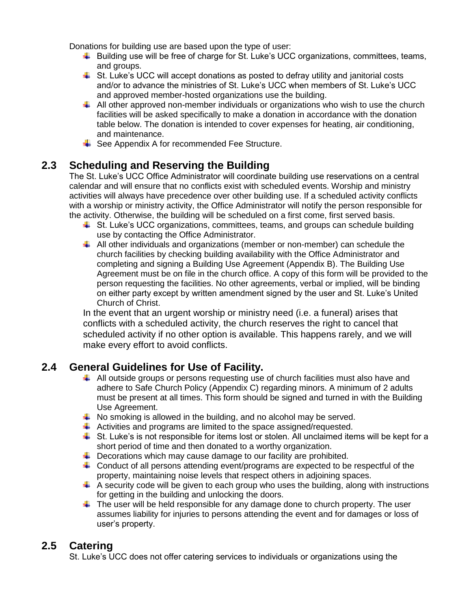Donations for building use are based upon the type of user:

- $\ddot{+}$  Building use will be free of charge for St. Luke's UCC organizations, committees, teams, and groups.
- $\downarrow$  St. Luke's UCC will accept donations as posted to defray utility and janitorial costs and/or to advance the ministries of St. Luke's UCC when members of St. Luke's UCC and approved member-hosted organizations use the building.
- $\downarrow$  All other approved non-member individuals or organizations who wish to use the church facilities will be asked specifically to make a donation in accordance with the donation table below. The donation is intended to cover expenses for heating, air conditioning, and maintenance.
- $\overline{\phantom{a}}$  See Appendix A for recommended Fee Structure.

### **2.3 Scheduling and Reserving the Building**

The St. Luke's UCC Office Administrator will coordinate building use reservations on a central calendar and will ensure that no conflicts exist with scheduled events. Worship and ministry activities will always have precedence over other building use. If a scheduled activity conflicts with a worship or ministry activity, the Office Administrator will notify the person responsible for the activity. Otherwise, the building will be scheduled on a first come, first served basis.

- $\ddot{\bullet}$  St. Luke's UCC organizations, committees, teams, and groups can schedule building use by contacting the Office Administrator.
- All other individuals and organizations (member or non-member) can schedule the church facilities by checking building availability with the Office Administrator and completing and signing a Building Use Agreement (Appendix B). The Building Use Agreement must be on file in the church office. A copy of this form will be provided to the person requesting the facilities. No other agreements, verbal or implied, will be binding on either party except by written amendment signed by the user and St. Luke's United Church of Christ.

In the event that an urgent worship or ministry need (i.e. a funeral) arises that conflicts with a scheduled activity, the church reserves the right to cancel that scheduled activity if no other option is available. This happens rarely, and we will make every effort to avoid conflicts.

## **2.4 General Guidelines for Use of Facility.**

- All outside groups or persons requesting use of church facilities must also have and adhere to Safe Church Policy (Appendix C) regarding minors. A minimum of 2 adults must be present at all times. This form should be signed and turned in with the Building Use Agreement.
- $\downarrow$  No smoking is allowed in the building, and no alcohol may be served.
- $\ddotplus$  Activities and programs are limited to the space assigned/requested.
- $\ddot{\bullet}$  St. Luke's is not responsible for items lost or stolen. All unclaimed items will be kept for a short period of time and then donated to a worthy organization.
- $\ddot{\phantom{1}}$  Decorations which may cause damage to our facility are prohibited.
- $\ddot{\phantom{1}}$  Conduct of all persons attending event/programs are expected to be respectful of the property, maintaining noise levels that respect others in adjoining spaces.
- $\downarrow$  A security code will be given to each group who uses the building, along with instructions for getting in the building and unlocking the doors.
- $\ddot{\phantom{1}}$  The user will be held responsible for any damage done to church property. The user assumes liability for injuries to persons attending the event and for damages or loss of user's property.

## **2.5 Catering**

St. Luke's UCC does not offer catering services to individuals or organizations using the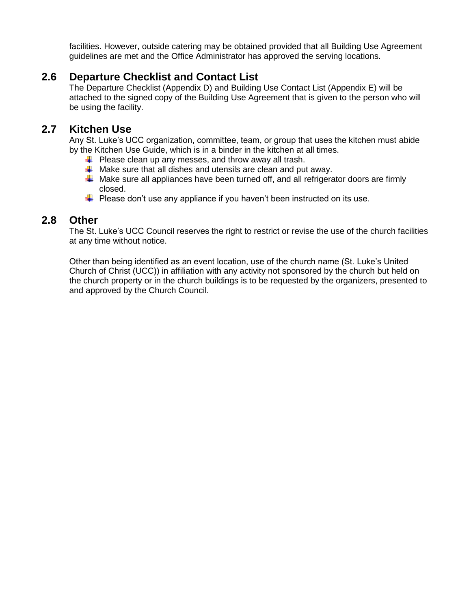facilities. However, outside catering may be obtained provided that all Building Use Agreement guidelines are met and the Office Administrator has approved the serving locations.

## **2.6 Departure Checklist and Contact List**

The Departure Checklist (Appendix D) and Building Use Contact List (Appendix E) will be attached to the signed copy of the Building Use Agreement that is given to the person who will be using the facility.

#### **2.7 Kitchen Use**

Any St. Luke's UCC organization, committee, team, or group that uses the kitchen must abide by the Kitchen Use Guide, which is in a binder in the kitchen at all times.

- $\downarrow$  Please clean up any messes, and throw away all trash.
- $\downarrow$  Make sure that all dishes and utensils are clean and put away.
- $\ddot$  Make sure all appliances have been turned off, and all refrigerator doors are firmly closed.
- $\ddot{+}$  Please don't use any appliance if you haven't been instructed on its use.

#### **2.8 Other**

The St. Luke's UCC Council reserves the right to restrict or revise the use of the church facilities at any time without notice.

Other than being identified as an event location, use of the church name (St. Luke's United Church of Christ (UCC)) in affiliation with any activity not sponsored by the church but held on the church property or in the church buildings is to be requested by the organizers, presented to and approved by the Church Council.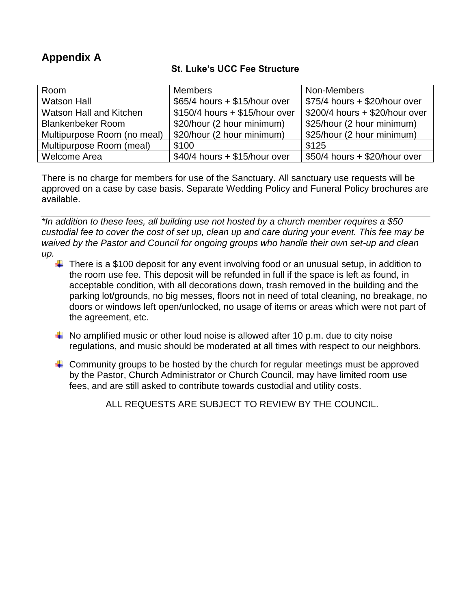# **Appendix A**

#### **St. Luke's UCC Fee Structure**

| Room                        | <b>Members</b>                  | Non-Members                    |
|-----------------------------|---------------------------------|--------------------------------|
| <b>Watson Hall</b>          | $$65/4$ hours + \$15/hour over  | $$75/4$ hours + \$20/hour over |
| Watson Hall and Kitchen     | $$150/4$ hours + \$15/hour over | \$200/4 hours + \$20/hour over |
| <b>Blankenbeker Room</b>    | \$20/hour (2 hour minimum)      | \$25/hour (2 hour minimum)     |
| Multipurpose Room (no meal) | \$20/hour (2 hour minimum)      | \$25/hour (2 hour minimum)     |
| Multipurpose Room (meal)    | \$100                           | \$125                          |
| <b>Welcome Area</b>         | $$40/4$ hours + \$15/hour over  | \$50/4 hours + \$20/hour over  |

There is no charge for members for use of the Sanctuary. All sanctuary use requests will be approved on a case by case basis. Separate Wedding Policy and Funeral Policy brochures are available.

*\*In addition to these fees, all building use not hosted by a church member requires a \$50 custodial fee to cover the cost of set up, clean up and care during your event. This fee may be waived by the Pastor and Council for ongoing groups who handle their own set-up and clean up.*

- $\ddot{\phantom{1}}$  There is a \$100 deposit for any event involving food or an unusual setup, in addition to the room use fee. This deposit will be refunded in full if the space is left as found, in acceptable condition, with all decorations down, trash removed in the building and the parking lot/grounds, no big messes, floors not in need of total cleaning, no breakage, no doors or windows left open/unlocked, no usage of items or areas which were not part of the agreement, etc.
- $\downarrow$  No amplified music or other loud noise is allowed after 10 p.m. due to city noise regulations, and music should be moderated at all times with respect to our neighbors.
- $\ddot{\phantom{1}}$  Community groups to be hosted by the church for regular meetings must be approved by the Pastor, Church Administrator or Church Council, may have limited room use fees, and are still asked to contribute towards custodial and utility costs.

ALL REQUESTS ARE SUBJECT TO REVIEW BY THE COUNCIL.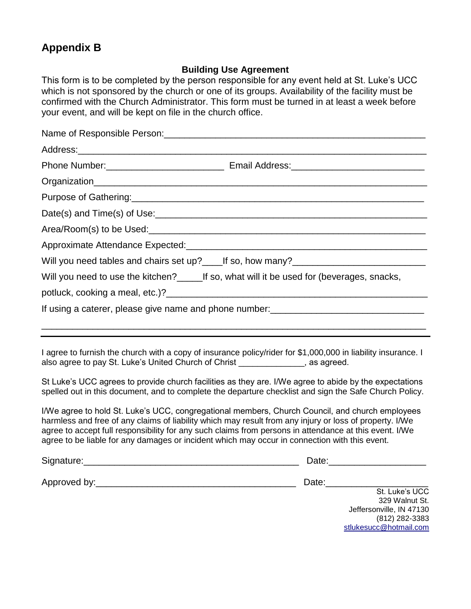# **Appendix B**

#### **Building Use Agreement**

This form is to be completed by the person responsible for any event held at St. Luke's UCC which is not sponsored by the church or one of its groups. Availability of the facility must be confirmed with the Church Administrator. This form must be turned in at least a week before your event, and will be kept on file in the church office.

| Will you need tables and chairs set up?_____If so, how many?_____________________                                                                                                                                |
|------------------------------------------------------------------------------------------------------------------------------------------------------------------------------------------------------------------|
| Will you need to use the kitchen?____________If so, what will it be used for (beverages, snacks,                                                                                                                 |
|                                                                                                                                                                                                                  |
|                                                                                                                                                                                                                  |
|                                                                                                                                                                                                                  |
| ,我们也不会有什么。""我们的人,我们也不会有什么?""我们的人,我们也不会有什么?""我们的人,我们也不会有什么?""我们的人,我们也不会有什么?""我们的人                                                                                                                                 |
| I agree to furnish the church with a copy of insurance policy/rider for \$1,000,000 in liability insurance. I<br>also agree to pay St. Luke's United Church of Christ ______________, as agreed.                 |
| St Luke's UCC agrees to provide church facilities as they are. I/We agree to abide by the expectations<br>spelled out in this document, and to complete the departure checklist and sign the Safe Church Policy. |

I/We agree to hold St. Luke's UCC, congregational members, Church Council, and church employees harmless and free of any claims of liability which may result from any injury or loss of property. I/We agree to accept full responsibility for any such claims from persons in attendance at this event. I/We agree to be liable for any damages or incident which may occur in connection with this event.

| Signature:   | Date:                    |
|--------------|--------------------------|
| Approved by: | Date:                    |
|              | St. Luke's UCC           |
|              | 329 Walnut St.           |
|              | Jeffersonville, IN 47130 |
|              | (812) 282-3383           |

[stlukesucc@hotmail.com](mailto:stlukesucc@hotmail.com)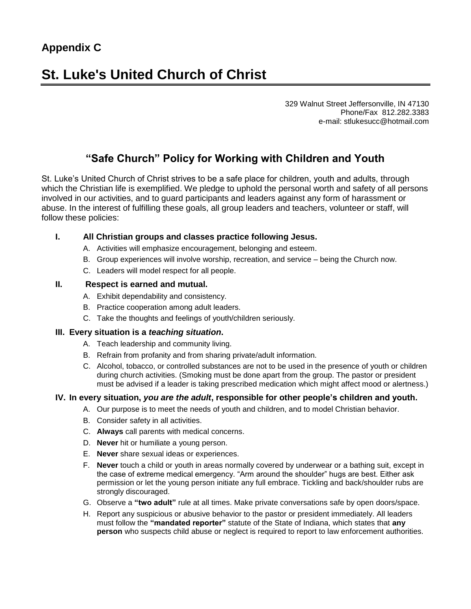# **St. Luke's United Church of Christ**

329 Walnut Street Jeffersonville, IN 47130 Phone/Fax 812.282.3383 e-mail: stlukesucc@hotmail.com

# **"Safe Church" Policy for Working with Children and Youth**

St. Luke's United Church of Christ strives to be a safe place for children, youth and adults, through which the Christian life is exemplified. We pledge to uphold the personal worth and safety of all persons involved in our activities, and to guard participants and leaders against any form of harassment or abuse. In the interest of fulfilling these goals, all group leaders and teachers, volunteer or staff, will follow these policies:

#### **I. All Christian groups and classes practice following Jesus.**

- A. Activities will emphasize encouragement, belonging and esteem.
- B. Group experiences will involve worship, recreation, and service being the Church now.
- C. Leaders will model respect for all people.

#### **II. Respect is earned and mutual.**

- A. Exhibit dependability and consistency.
- B. Practice cooperation among adult leaders.
- C. Take the thoughts and feelings of youth/children seriously.

#### **III. Every situation is a** *teaching situation***.**

- A. Teach leadership and community living.
- B. Refrain from profanity and from sharing private/adult information.
- C. Alcohol, tobacco, or controlled substances are not to be used in the presence of youth or children during church activities. (Smoking must be done apart from the group. The pastor or president must be advised if a leader is taking prescribed medication which might affect mood or alertness.)

#### **IV. In every situation,** *you are the adult***, responsible for other people's children and youth.**

- A. Our purpose is to meet the needs of youth and children, and to model Christian behavior.
- B. Consider safety in all activities.
- C. **Always** call parents with medical concerns.
- D. **Never** hit or humiliate a young person.
- E. **Never** share sexual ideas or experiences.
- F. **Never** touch a child or youth in areas normally covered by underwear or a bathing suit, except in the case of extreme medical emergency. "Arm around the shoulder" hugs are best. Either ask permission or let the young person initiate any full embrace. Tickling and back/shoulder rubs are strongly discouraged.
- G. Observe a **"two adult"** rule at all times. Make private conversations safe by open doors/space.
- H. Report any suspicious or abusive behavior to the pastor or president immediately. All leaders must follow the **"mandated reporter"** statute of the State of Indiana, which states that **any person** who suspects child abuse or neglect is required to report to law enforcement authorities.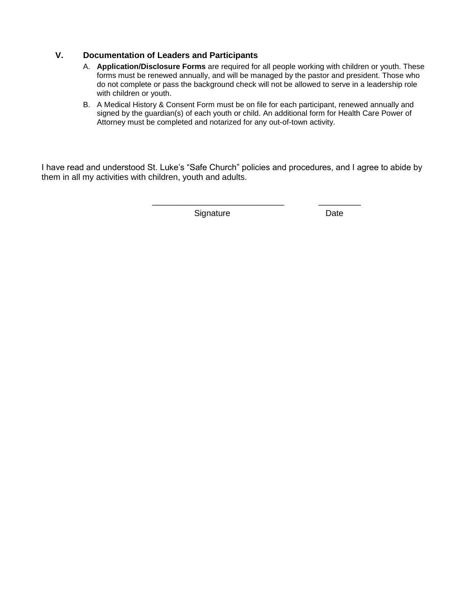#### **V. Documentation of Leaders and Participants**

- A. **Application/Disclosure Forms** are required for all people working with children or youth. These forms must be renewed annually, and will be managed by the pastor and president. Those who do not complete or pass the background check will not be allowed to serve in a leadership role with children or youth.
- B. A Medical History & Consent Form must be on file for each participant, renewed annually and signed by the guardian(s) of each youth or child. An additional form for Health Care Power of Attorney must be completed and notarized for any out-of-town activity.

\_\_\_\_\_\_\_\_\_\_\_\_\_\_\_\_\_\_\_\_\_\_\_\_\_\_\_\_ \_\_\_\_\_\_\_\_\_

I have read and understood St. Luke's "Safe Church" policies and procedures, and I agree to abide by them in all my activities with children, youth and adults.

Signature Date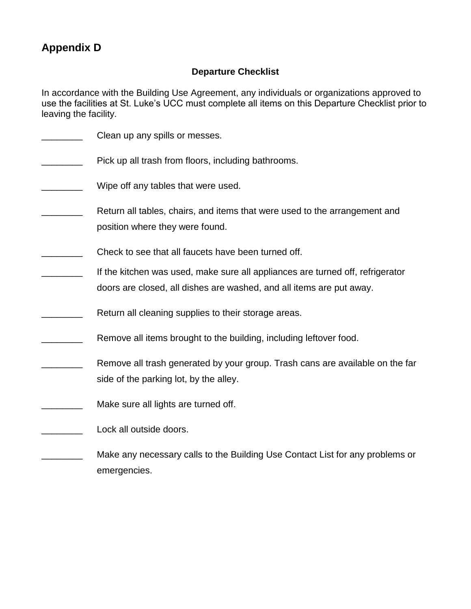# **Appendix D**

#### **Departure Checklist**

In accordance with the Building Use Agreement, any individuals or organizations approved to use the facilities at St. Luke's UCC must complete all items on this Departure Checklist prior to leaving the facility.

- Clean up any spills or messes.
- **EXECUTE:** Pick up all trash from floors, including bathrooms.
- \_\_\_\_\_\_\_\_ Wipe off any tables that were used.
- Return all tables, chairs, and items that were used to the arrangement and position where they were found.
- **EXECUTE:** Check to see that all faucets have been turned off.
- If the kitchen was used, make sure all appliances are turned off, refrigerator doors are closed, all dishes are washed, and all items are put away.
- Return all cleaning supplies to their storage areas.
- Remove all items brought to the building, including leftover food.
- Remove all trash generated by your group. Trash cans are available on the far side of the parking lot, by the alley.
- **Example 20** Make sure all lights are turned off.
- Lock all outside doors.
- Make any necessary calls to the Building Use Contact List for any problems or emergencies.